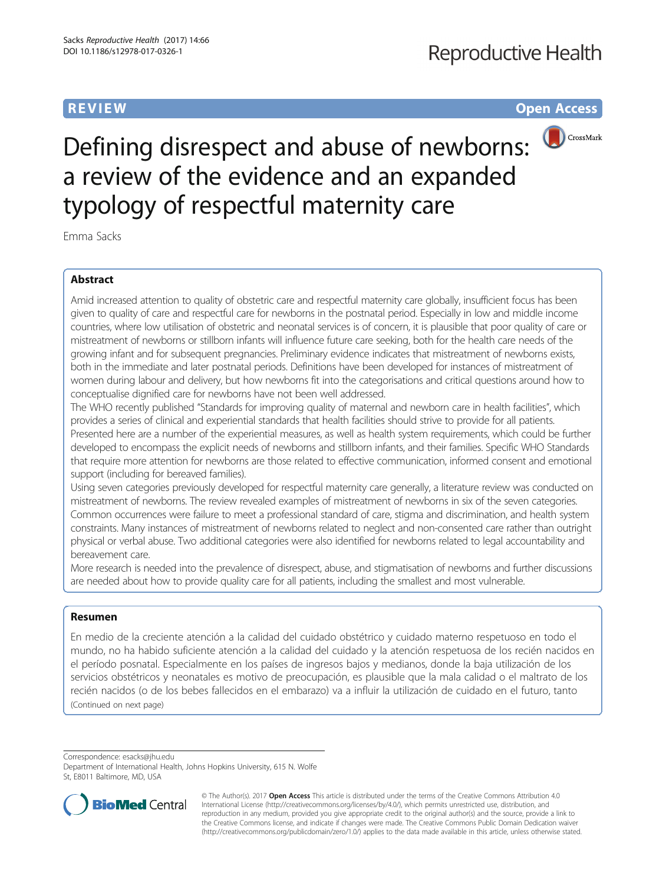**REVIEW REVIEW** *REVIEW REVIEW REVIEW REVIEW REVIEW REVIEW REVIEW REVIEW REVIEW* 



# Defining disrespect and abuse of newborns: a review of the evidence and an expanded typology of respectful maternity care

Emma Sacks

# Abstract

Amid increased attention to quality of obstetric care and respectful maternity care globally, insufficient focus has been given to quality of care and respectful care for newborns in the postnatal period. Especially in low and middle income countries, where low utilisation of obstetric and neonatal services is of concern, it is plausible that poor quality of care or mistreatment of newborns or stillborn infants will influence future care seeking, both for the health care needs of the growing infant and for subsequent pregnancies. Preliminary evidence indicates that mistreatment of newborns exists, both in the immediate and later postnatal periods. Definitions have been developed for instances of mistreatment of women during labour and delivery, but how newborns fit into the categorisations and critical questions around how to conceptualise dignified care for newborns have not been well addressed.

The WHO recently published "Standards for improving quality of maternal and newborn care in health facilities", which provides a series of clinical and experiential standards that health facilities should strive to provide for all patients. Presented here are a number of the experiential measures, as well as health system requirements, which could be further developed to encompass the explicit needs of newborns and stillborn infants, and their families. Specific WHO Standards that require more attention for newborns are those related to effective communication, informed consent and emotional support (including for bereaved families).

Using seven categories previously developed for respectful maternity care generally, a literature review was conducted on mistreatment of newborns. The review revealed examples of mistreatment of newborns in six of the seven categories. Common occurrences were failure to meet a professional standard of care, stigma and discrimination, and health system constraints. Many instances of mistreatment of newborns related to neglect and non-consented care rather than outright physical or verbal abuse. Two additional categories were also identified for newborns related to legal accountability and bereavement care.

More research is needed into the prevalence of disrespect, abuse, and stigmatisation of newborns and further discussions are needed about how to provide quality care for all patients, including the smallest and most vulnerable.

# Resumen

En medio de la creciente atención a la calidad del cuidado obstétrico y cuidado materno respetuoso en todo el mundo, no ha habido suficiente atención a la calidad del cuidado y la atención respetuosa de los recién nacidos en el período posnatal. Especialmente en los países de ingresos bajos y medianos, donde la baja utilización de los servicios obstétricos y neonatales es motivo de preocupación, es plausible que la mala calidad o el maltrato de los recién nacidos (o de los bebes fallecidos en el embarazo) va a influir la utilización de cuidado en el futuro, tanto (Continued on next page)

Correspondence: [esacks@jhu.edu](mailto:esacks@jhu.edu)

Department of International Health, Johns Hopkins University, 615 N. Wolfe St, E8011 Baltimore, MD, USA



© The Author(s). 2017 **Open Access** This article is distributed under the terms of the Creative Commons Attribution 4.0 International License [\(http://creativecommons.org/licenses/by/4.0/](http://creativecommons.org/licenses/by/4.0/)), which permits unrestricted use, distribution, and reproduction in any medium, provided you give appropriate credit to the original author(s) and the source, provide a link to the Creative Commons license, and indicate if changes were made. The Creative Commons Public Domain Dedication waiver [\(http://creativecommons.org/publicdomain/zero/1.0/](http://creativecommons.org/publicdomain/zero/1.0/)) applies to the data made available in this article, unless otherwise stated.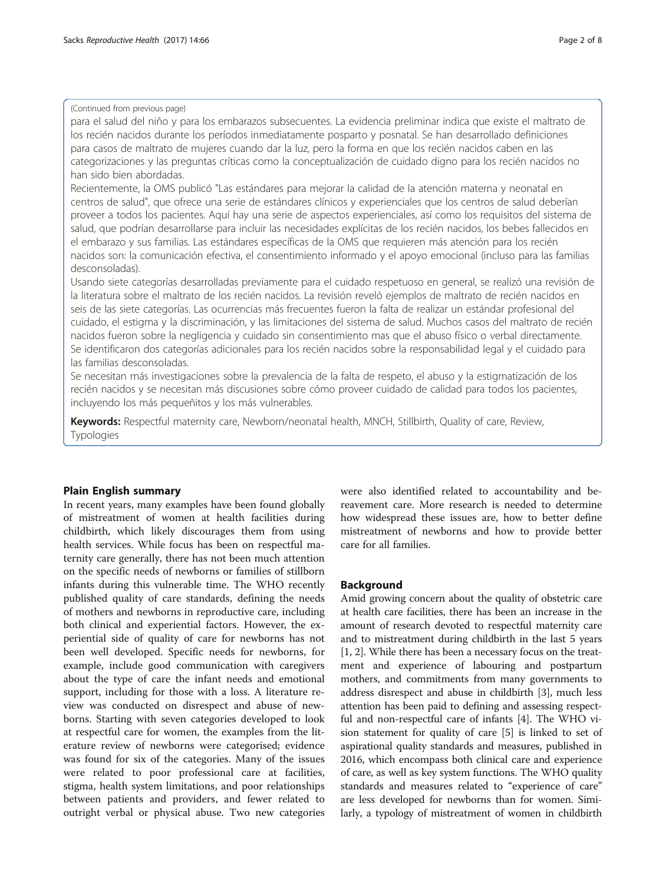## (Continued from previous page)

para el salud del niño y para los embarazos subsecuentes. La evidencia preliminar indica que existe el maltrato de los recién nacidos durante los períodos inmediatamente posparto y posnatal. Se han desarrollado definiciones para casos de maltrato de mujeres cuando dar la luz, pero la forma en que los recién nacidos caben en las categorizaciones y las preguntas críticas como la conceptualización de cuidado digno para los recién nacidos no han sido bien abordadas.

Recientemente, la OMS publicó "Las estándares para mejorar la calidad de la atención materna y neonatal en centros de salud", que ofrece una serie de estándares clínicos y experienciales que los centros de salud deberían proveer a todos los pacientes. Aquí hay una serie de aspectos experienciales, así como los requisitos del sistema de salud, que podrían desarrollarse para incluir las necesidades explícitas de los recién nacidos, los bebes fallecidos en el embarazo y sus familias. Las estándares específicas de la OMS que requieren más atención para los recién nacidos son: la comunicación efectiva, el consentimiento informado y el apoyo emocional (incluso para las familias desconsoladas).

Usando siete categorías desarrolladas previamente para el cuidado respetuoso en general, se realizó una revisión de la literatura sobre el maltrato de los recién nacidos. La revisión reveló ejemplos de maltrato de recién nacidos en seis de las siete categorías. Las ocurrencias más frecuentes fueron la falta de realizar un estándar profesional del cuidado, el estigma y la discriminación, y las limitaciones del sistema de salud. Muchos casos del maltrato de recién nacidos fueron sobre la negligencia y cuidado sin consentimiento mas que el abuso físico o verbal directamente. Se identificaron dos categorías adicionales para los recién nacidos sobre la responsabilidad legal y el cuidado para las familias desconsoladas.

Se necesitan más investigaciones sobre la prevalencia de la falta de respeto, el abuso y la estigmatización de los recién nacidos y se necesitan más discusiones sobre cómo proveer cuidado de calidad para todos los pacientes, incluyendo los más pequeñitos y los más vulnerables.

Keywords: Respectful maternity care, Newborn/neonatal health, MNCH, Stillbirth, Quality of care, Review, Typologies

# Plain English summary

In recent years, many examples have been found globally of mistreatment of women at health facilities during childbirth, which likely discourages them from using health services. While focus has been on respectful maternity care generally, there has not been much attention on the specific needs of newborns or families of stillborn infants during this vulnerable time. The WHO recently published quality of care standards, defining the needs of mothers and newborns in reproductive care, including both clinical and experiential factors. However, the experiential side of quality of care for newborns has not been well developed. Specific needs for newborns, for example, include good communication with caregivers about the type of care the infant needs and emotional support, including for those with a loss. A literature review was conducted on disrespect and abuse of newborns. Starting with seven categories developed to look at respectful care for women, the examples from the literature review of newborns were categorised; evidence was found for six of the categories. Many of the issues were related to poor professional care at facilities, stigma, health system limitations, and poor relationships between patients and providers, and fewer related to outright verbal or physical abuse. Two new categories

were also identified related to accountability and bereavement care. More research is needed to determine how widespread these issues are, how to better define mistreatment of newborns and how to provide better care for all families.

# Background

Amid growing concern about the quality of obstetric care at health care facilities, there has been an increase in the amount of research devoted to respectful maternity care and to mistreatment during childbirth in the last 5 years [[1, 2](#page-7-0)]. While there has been a necessary focus on the treatment and experience of labouring and postpartum mothers, and commitments from many governments to address disrespect and abuse in childbirth [\[3\]](#page-7-0), much less attention has been paid to defining and assessing respectful and non-respectful care of infants [[4\]](#page-7-0). The WHO vision statement for quality of care [[5\]](#page-7-0) is linked to set of aspirational quality standards and measures, published in 2016, which encompass both clinical care and experience of care, as well as key system functions. The WHO quality standards and measures related to "experience of care" are less developed for newborns than for women. Similarly, a typology of mistreatment of women in childbirth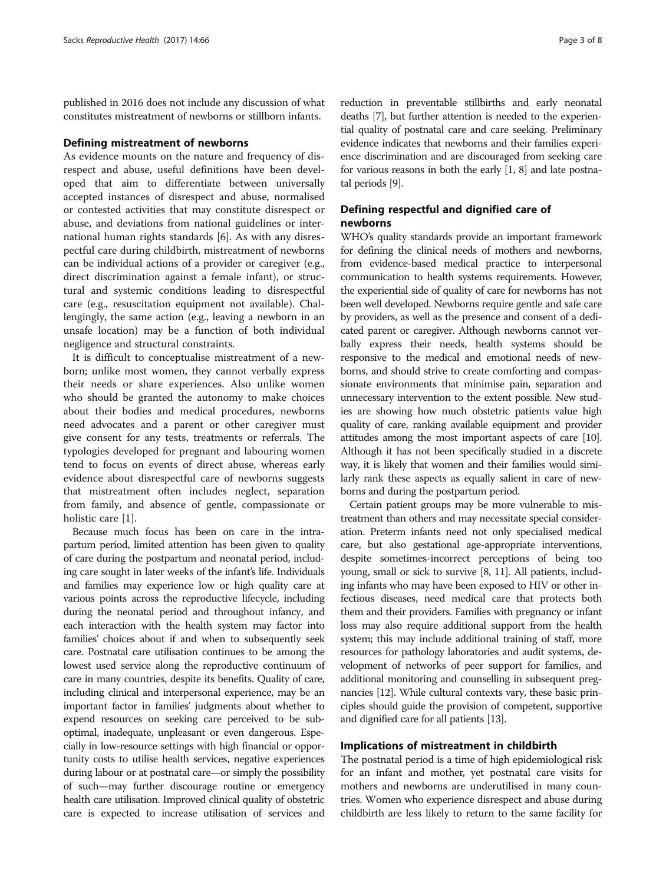published in 2016 does not include any discussion of what constitutes mistreatment of newborns or stillborn infants.

#### Defining mistreatment of newborns

As evidence mounts on the nature and frequency of disrespect and abuse, useful definitions have been developed that aim to differentiate between universally accepted instances of disrespect and abuse, normalised or contested activities that may constitute disrespect or abuse, and deviations from national guidelines or international human rights standards [\[6\]](#page-7-0). As with any disrespectful care during childbirth, mistreatment of newborns can be individual actions of a provider or caregiver (e.g., direct discrimination against a female infant), or structural and systemic conditions leading to disrespectful care (e.g., resuscitation equipment not available). Challengingly, the same action (e.g., leaving a newborn in an unsafe location) may be a function of both individual negligence and structural constraints.

It is difficult to conceptualise mistreatment of a newborn; unlike most women, they cannot verbally express their needs or share experiences. Also unlike women who should be granted the autonomy to make choices about their bodies and medical procedures, newborns need advocates and a parent or other caregiver must give consent for any tests, treatments or referrals. The typologies developed for pregnant and labouring women tend to focus on events of direct abuse, whereas early evidence about disrespectful care of newborns suggests that mistreatment often includes neglect, separation from family, and absence of gentle, compassionate or holistic care [\[1\]](#page-7-0).

Because much focus has been on care in the intrapartum period, limited attention has been given to quality of care during the postpartum and neonatal period, including care sought in later weeks of the infant's life. Individuals and families may experience low or high quality care at various points across the reproductive lifecycle, including during the neonatal period and throughout infancy, and each interaction with the health system may factor into families' choices about if and when to subsequently seek care. Postnatal care utilisation continues to be among the lowest used service along the reproductive continuum of care in many countries, despite its benefits. Quality of care, including clinical and interpersonal experience, may be an important factor in families' judgments about whether to expend resources on seeking care perceived to be suboptimal, inadequate, unpleasant or even dangerous. Especially in low-resource settings with high financial or opportunity costs to utilise health services, negative experiences during labour or at postnatal care—or simply the possibility of such—may further discourage routine or emergency health care utilisation. Improved clinical quality of obstetric care is expected to increase utilisation of services and

reduction in preventable stillbirths and early neonatal deaths [\[7\]](#page-7-0), but further attention is needed to the experiential quality of postnatal care and care seeking. Preliminary evidence indicates that newborns and their families experience discrimination and are discouraged from seeking care for various reasons in both the early [\[1](#page-7-0), [8\]](#page-7-0) and late postnatal periods [\[9\]](#page-7-0).

# Defining respectful and dignified care of newborns

WHO's quality standards provide an important framework for defining the clinical needs of mothers and newborns, from evidence-based medical practice to interpersonal communication to health systems requirements. However, the experiential side of quality of care for newborns has not been well developed. Newborns require gentle and safe care by providers, as well as the presence and consent of a dedicated parent or caregiver. Although newborns cannot verbally express their needs, health systems should be responsive to the medical and emotional needs of newborns, and should strive to create comforting and compassionate environments that minimise pain, separation and unnecessary intervention to the extent possible. New studies are showing how much obstetric patients value high quality of care, ranking available equipment and provider attitudes among the most important aspects of care [\[10](#page-7-0)]. Although it has not been specifically studied in a discrete way, it is likely that women and their families would similarly rank these aspects as equally salient in care of newborns and during the postpartum period.

Certain patient groups may be more vulnerable to mistreatment than others and may necessitate special consideration. Preterm infants need not only specialised medical care, but also gestational age-appropriate interventions, despite sometimes-incorrect perceptions of being too young, small or sick to survive [[8](#page-7-0), [11\]](#page-7-0). All patients, including infants who may have been exposed to HIV or other infectious diseases, need medical care that protects both them and their providers. Families with pregnancy or infant loss may also require additional support from the health system; this may include additional training of staff, more resources for pathology laboratories and audit systems, development of networks of peer support for families, and additional monitoring and counselling in subsequent pregnancies [[12](#page-7-0)]. While cultural contexts vary, these basic principles should guide the provision of competent, supportive and dignified care for all patients [[13](#page-7-0)].

### Implications of mistreatment in childbirth

The postnatal period is a time of high epidemiological risk for an infant and mother, yet postnatal care visits for mothers and newborns are underutilised in many countries. Women who experience disrespect and abuse during childbirth are less likely to return to the same facility for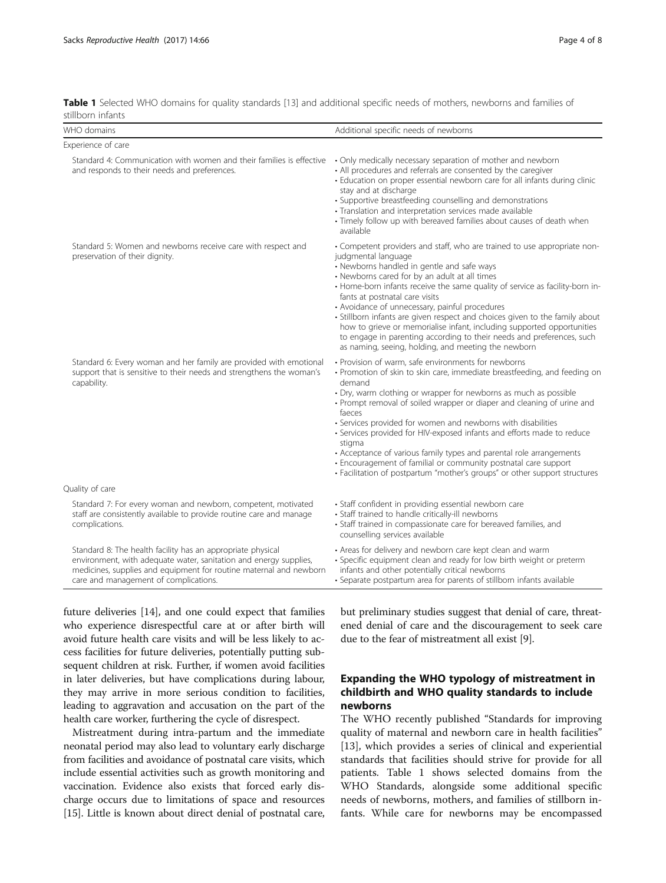|                   | Table 1 Selected WHO domains for quality standards [13] and additional specific needs of mothers, newborns and families of |  |  |  |  |  |  |
|-------------------|----------------------------------------------------------------------------------------------------------------------------|--|--|--|--|--|--|
| stillborn infants |                                                                                                                            |  |  |  |  |  |  |

| WHO domains                                                                                                                                                                                                                                     | Additional specific needs of newborns                                                                                                                                                                                                                                                                                                                                                                                                                                                                                                                                                                                                                                          |
|-------------------------------------------------------------------------------------------------------------------------------------------------------------------------------------------------------------------------------------------------|--------------------------------------------------------------------------------------------------------------------------------------------------------------------------------------------------------------------------------------------------------------------------------------------------------------------------------------------------------------------------------------------------------------------------------------------------------------------------------------------------------------------------------------------------------------------------------------------------------------------------------------------------------------------------------|
| Experience of care                                                                                                                                                                                                                              |                                                                                                                                                                                                                                                                                                                                                                                                                                                                                                                                                                                                                                                                                |
| Standard 4: Communication with women and their families is effective<br>and responds to their needs and preferences.                                                                                                                            | • Only medically necessary separation of mother and newborn<br>• All procedures and referrals are consented by the caregiver<br>· Education on proper essential newborn care for all infants during clinic<br>stay and at discharge<br>• Supportive breastfeeding counselling and demonstrations<br>· Translation and interpretation services made available<br>• Timely follow up with bereaved families about causes of death when<br>available                                                                                                                                                                                                                              |
| Standard 5: Women and newborns receive care with respect and<br>preservation of their dignity.                                                                                                                                                  | • Competent providers and staff, who are trained to use appropriate non-<br>judgmental language<br>• Newborns handled in gentle and safe ways<br>• Newborns cared for by an adult at all times<br>• Home-born infants receive the same quality of service as facility-born in-<br>fants at postnatal care visits<br>• Avoidance of unnecessary, painful procedures<br>• Stillborn infants are given respect and choices given to the family about<br>how to grieve or memorialise infant, including supported opportunities<br>to engage in parenting according to their needs and preferences, such<br>as naming, seeing, holding, and meeting the newborn                    |
| Standard 6: Every woman and her family are provided with emotional<br>support that is sensitive to their needs and strengthens the woman's<br>capability.                                                                                       | • Provision of warm, safe environments for newborns<br>• Promotion of skin to skin care, immediate breastfeeding, and feeding on<br>demand<br>• Dry, warm clothing or wrapper for newborns as much as possible<br>• Prompt removal of soiled wrapper or diaper and cleaning of urine and<br>faeces<br>· Services provided for women and newborns with disabilities<br>• Services provided for HIV-exposed infants and efforts made to reduce<br>stigma<br>• Acceptance of various family types and parental role arrangements<br>• Encouragement of familial or community postnatal care support<br>• Facilitation of postpartum "mother's groups" or other support structures |
| Quality of care                                                                                                                                                                                                                                 |                                                                                                                                                                                                                                                                                                                                                                                                                                                                                                                                                                                                                                                                                |
| Standard 7: For every woman and newborn, competent, motivated<br>staff are consistently available to provide routine care and manage<br>complications.                                                                                          | • Staff confident in providing essential newborn care<br>• Staff trained to handle critically-ill newborns<br>• Staff trained in compassionate care for bereaved families, and<br>counselling services available                                                                                                                                                                                                                                                                                                                                                                                                                                                               |
| Standard 8: The health facility has an appropriate physical<br>environment, with adequate water, sanitation and energy supplies,<br>medicines, supplies and equipment for routine maternal and newborn<br>care and management of complications. | • Areas for delivery and newborn care kept clean and warm<br>• Specific equipment clean and ready for low birth weight or preterm<br>infants and other potentially critical newborns<br>· Separate postpartum area for parents of stillborn infants available                                                                                                                                                                                                                                                                                                                                                                                                                  |

future deliveries [[14](#page-7-0)], and one could expect that families who experience disrespectful care at or after birth will avoid future health care visits and will be less likely to access facilities for future deliveries, potentially putting subsequent children at risk. Further, if women avoid facilities in later deliveries, but have complications during labour, they may arrive in more serious condition to facilities, leading to aggravation and accusation on the part of the health care worker, furthering the cycle of disrespect.

Mistreatment during intra-partum and the immediate neonatal period may also lead to voluntary early discharge from facilities and avoidance of postnatal care visits, which include essential activities such as growth monitoring and vaccination. Evidence also exists that forced early discharge occurs due to limitations of space and resources [[15](#page-7-0)]. Little is known about direct denial of postnatal care, but preliminary studies suggest that denial of care, threatened denial of care and the discouragement to seek care due to the fear of mistreatment all exist [\[9\]](#page-7-0).

# Expanding the WHO typology of mistreatment in childbirth and WHO quality standards to include newborns

The WHO recently published "Standards for improving quality of maternal and newborn care in health facilities" [[13\]](#page-7-0), which provides a series of clinical and experiential standards that facilities should strive for provide for all patients. Table 1 shows selected domains from the WHO Standards, alongside some additional specific needs of newborns, mothers, and families of stillborn infants. While care for newborns may be encompassed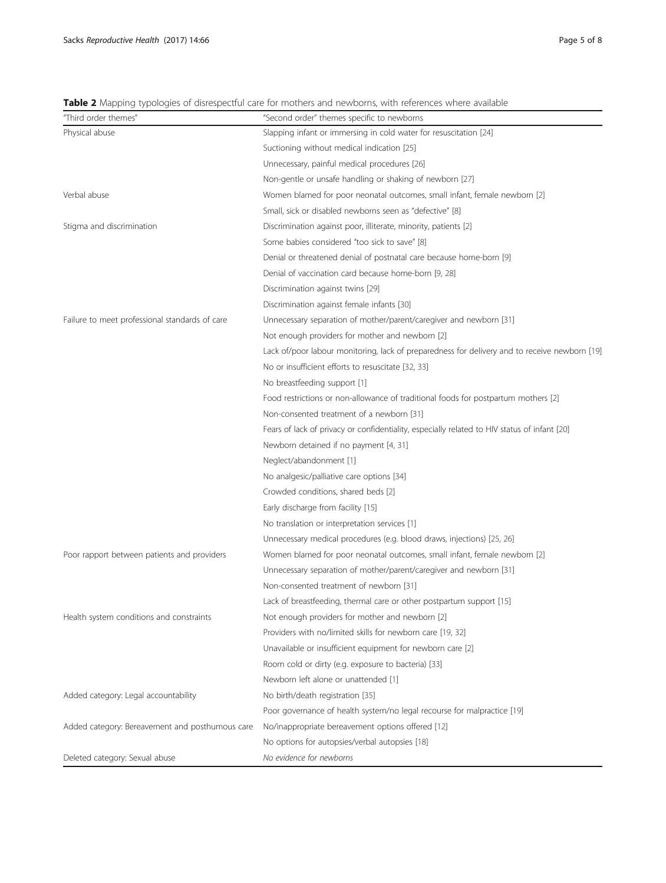<span id="page-4-0"></span>Table 2 Mapping typologies of disrespectful care for mothers and newborns, with references where available

| "Third order themes"                            | "Second order" themes specific to newborns                                                    |  |  |  |  |
|-------------------------------------------------|-----------------------------------------------------------------------------------------------|--|--|--|--|
| Physical abuse                                  | Slapping infant or immersing in cold water for resuscitation [24]                             |  |  |  |  |
|                                                 | Suctioning without medical indication [25]                                                    |  |  |  |  |
|                                                 | Unnecessary, painful medical procedures [26]                                                  |  |  |  |  |
|                                                 | Non-gentle or unsafe handling or shaking of newborn [27]                                      |  |  |  |  |
| Verbal abuse                                    | Women blamed for poor neonatal outcomes, small infant, female newborn [2]                     |  |  |  |  |
|                                                 | Small, sick or disabled newborns seen as "defective" [8]                                      |  |  |  |  |
| Stigma and discrimination                       | Discrimination against poor, illiterate, minority, patients [2]                               |  |  |  |  |
|                                                 | Some babies considered "too sick to save" [8]                                                 |  |  |  |  |
|                                                 | Denial or threatened denial of postnatal care because home-born [9]                           |  |  |  |  |
|                                                 | Denial of vaccination card because home-born [9, 28]                                          |  |  |  |  |
|                                                 | Discrimination against twins [29]                                                             |  |  |  |  |
|                                                 | Discrimination against female infants [30]                                                    |  |  |  |  |
| Failure to meet professional standards of care  | Unnecessary separation of mother/parent/caregiver and newborn [31]                            |  |  |  |  |
|                                                 | Not enough providers for mother and newborn [2]                                               |  |  |  |  |
|                                                 | Lack of/poor labour monitoring, lack of preparedness for delivery and to receive newborn [19] |  |  |  |  |
|                                                 | No or insufficient efforts to resuscitate [32, 33]                                            |  |  |  |  |
|                                                 | No breastfeeding support [1]                                                                  |  |  |  |  |
|                                                 | Food restrictions or non-allowance of traditional foods for postpartum mothers [2]            |  |  |  |  |
|                                                 | Non-consented treatment of a newborn [31]                                                     |  |  |  |  |
|                                                 | Fears of lack of privacy or confidentiality, especially related to HIV status of infant [20]  |  |  |  |  |
|                                                 | Newborn detained if no payment [4, 31]                                                        |  |  |  |  |
|                                                 | Neglect/abandonment [1]                                                                       |  |  |  |  |
|                                                 | No analgesic/palliative care options [34]                                                     |  |  |  |  |
|                                                 | Crowded conditions, shared beds [2]                                                           |  |  |  |  |
|                                                 | Early discharge from facility [15]                                                            |  |  |  |  |
|                                                 | No translation or interpretation services [1]                                                 |  |  |  |  |
|                                                 | Unnecessary medical procedures (e.g. blood draws, injections) [25, 26]                        |  |  |  |  |
| Poor rapport between patients and providers     | Women blamed for poor neonatal outcomes, small infant, female newborn [2]                     |  |  |  |  |
|                                                 | Unnecessary separation of mother/parent/caregiver and newborn [31]                            |  |  |  |  |
|                                                 | Non-consented treatment of newborn [31]                                                       |  |  |  |  |
|                                                 | Lack of breastfeeding, thermal care or other postpartum support [15]                          |  |  |  |  |
| Health system conditions and constraints        | Not enough providers for mother and newborn [2]                                               |  |  |  |  |
|                                                 | Providers with no/limited skills for newborn care [19, 32]                                    |  |  |  |  |
|                                                 | Unavailable or insufficient equipment for newborn care [2]                                    |  |  |  |  |
|                                                 | Room cold or dirty (e.g. exposure to bacteria) [33]                                           |  |  |  |  |
|                                                 | Newborn left alone or unattended [1]                                                          |  |  |  |  |
| Added category: Legal accountability            | No birth/death registration [35]                                                              |  |  |  |  |
|                                                 | Poor governance of health system/no legal recourse for malpractice [19]                       |  |  |  |  |
| Added category: Bereavement and posthumous care | No/inappropriate bereavement options offered [12]                                             |  |  |  |  |
|                                                 | No options for autopsies/verbal autopsies [18]                                                |  |  |  |  |
| Deleted category: Sexual abuse                  | No evidence for newborns                                                                      |  |  |  |  |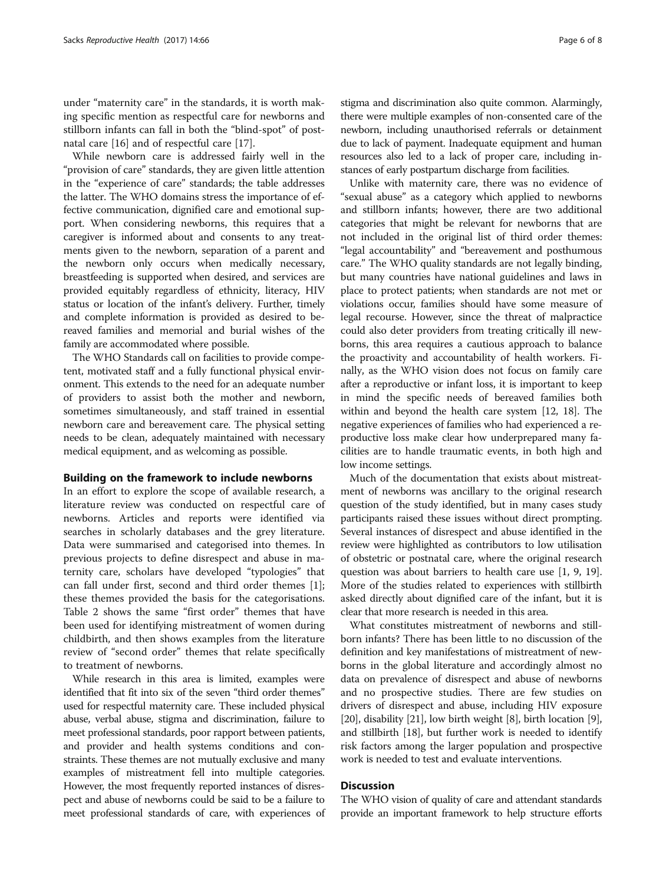under "maternity care" in the standards, it is worth making specific mention as respectful care for newborns and stillborn infants can fall in both the "blind-spot" of postnatal care [[16](#page-7-0)] and of respectful care [\[17\]](#page-7-0).

While newborn care is addressed fairly well in the "provision of care" standards, they are given little attention in the "experience of care" standards; the table addresses the latter. The WHO domains stress the importance of effective communication, dignified care and emotional support. When considering newborns, this requires that a caregiver is informed about and consents to any treatments given to the newborn, separation of a parent and the newborn only occurs when medically necessary, breastfeeding is supported when desired, and services are provided equitably regardless of ethnicity, literacy, HIV status or location of the infant's delivery. Further, timely and complete information is provided as desired to bereaved families and memorial and burial wishes of the family are accommodated where possible.

The WHO Standards call on facilities to provide competent, motivated staff and a fully functional physical environment. This extends to the need for an adequate number of providers to assist both the mother and newborn, sometimes simultaneously, and staff trained in essential newborn care and bereavement care. The physical setting needs to be clean, adequately maintained with necessary medical equipment, and as welcoming as possible.

### Building on the framework to include newborns

In an effort to explore the scope of available research, a literature review was conducted on respectful care of newborns. Articles and reports were identified via searches in scholarly databases and the grey literature. Data were summarised and categorised into themes. In previous projects to define disrespect and abuse in maternity care, scholars have developed "typologies" that can fall under first, second and third order themes [\[1](#page-7-0)]; these themes provided the basis for the categorisations. Table [2](#page-4-0) shows the same "first order" themes that have been used for identifying mistreatment of women during childbirth, and then shows examples from the literature review of "second order" themes that relate specifically to treatment of newborns.

While research in this area is limited, examples were identified that fit into six of the seven "third order themes" used for respectful maternity care. These included physical abuse, verbal abuse, stigma and discrimination, failure to meet professional standards, poor rapport between patients, and provider and health systems conditions and constraints. These themes are not mutually exclusive and many examples of mistreatment fell into multiple categories. However, the most frequently reported instances of disrespect and abuse of newborns could be said to be a failure to meet professional standards of care, with experiences of stigma and discrimination also quite common. Alarmingly, there were multiple examples of non-consented care of the newborn, including unauthorised referrals or detainment due to lack of payment. Inadequate equipment and human resources also led to a lack of proper care, including instances of early postpartum discharge from facilities.

Unlike with maternity care, there was no evidence of "sexual abuse" as a category which applied to newborns and stillborn infants; however, there are two additional categories that might be relevant for newborns that are not included in the original list of third order themes: "legal accountability" and "bereavement and posthumous care." The WHO quality standards are not legally binding, but many countries have national guidelines and laws in place to protect patients; when standards are not met or violations occur, families should have some measure of legal recourse. However, since the threat of malpractice could also deter providers from treating critically ill newborns, this area requires a cautious approach to balance the proactivity and accountability of health workers. Finally, as the WHO vision does not focus on family care after a reproductive or infant loss, it is important to keep in mind the specific needs of bereaved families both within and beyond the health care system [[12](#page-7-0), [18](#page-7-0)]. The negative experiences of families who had experienced a reproductive loss make clear how underprepared many facilities are to handle traumatic events, in both high and low income settings.

Much of the documentation that exists about mistreatment of newborns was ancillary to the original research question of the study identified, but in many cases study participants raised these issues without direct prompting. Several instances of disrespect and abuse identified in the review were highlighted as contributors to low utilisation of obstetric or postnatal care, where the original research question was about barriers to health care use [\[1](#page-7-0), [9, 19](#page-7-0)]. More of the studies related to experiences with stillbirth asked directly about dignified care of the infant, but it is clear that more research is needed in this area.

What constitutes mistreatment of newborns and stillborn infants? There has been little to no discussion of the definition and key manifestations of mistreatment of newborns in the global literature and accordingly almost no data on prevalence of disrespect and abuse of newborns and no prospective studies. There are few studies on drivers of disrespect and abuse, including HIV exposure [[20](#page-7-0)], disability [[21](#page-7-0)], low birth weight [[8\]](#page-7-0), birth location [[9](#page-7-0)], and stillbirth [[18](#page-7-0)], but further work is needed to identify risk factors among the larger population and prospective work is needed to test and evaluate interventions.

# **Discussion**

The WHO vision of quality of care and attendant standards provide an important framework to help structure efforts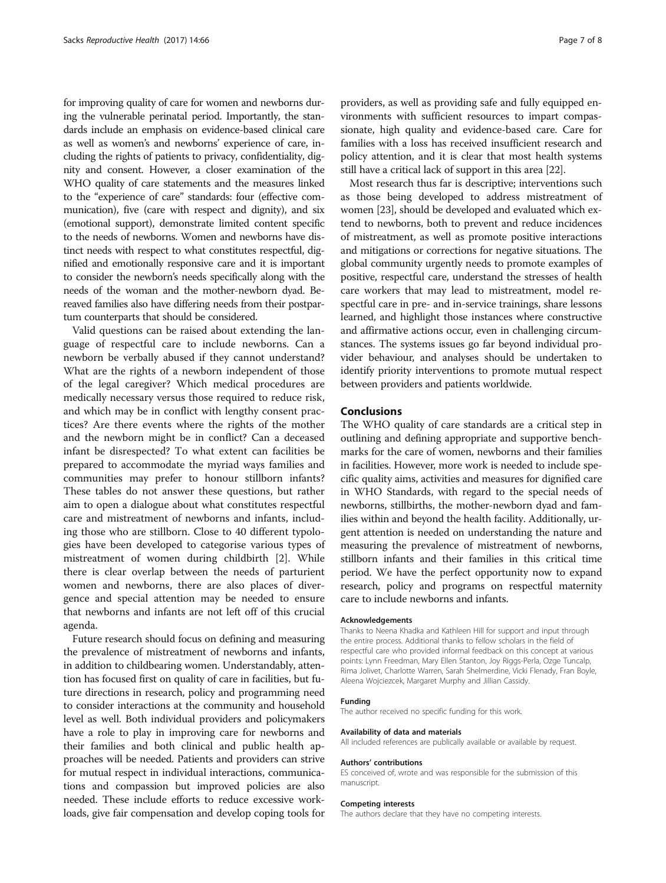for improving quality of care for women and newborns during the vulnerable perinatal period. Importantly, the standards include an emphasis on evidence-based clinical care as well as women's and newborns' experience of care, including the rights of patients to privacy, confidentiality, dignity and consent. However, a closer examination of the WHO quality of care statements and the measures linked to the "experience of care" standards: four (effective communication), five (care with respect and dignity), and six (emotional support), demonstrate limited content specific to the needs of newborns. Women and newborns have distinct needs with respect to what constitutes respectful, dignified and emotionally responsive care and it is important to consider the newborn's needs specifically along with the needs of the woman and the mother-newborn dyad. Bereaved families also have differing needs from their postpartum counterparts that should be considered.

Valid questions can be raised about extending the language of respectful care to include newborns. Can a newborn be verbally abused if they cannot understand? What are the rights of a newborn independent of those of the legal caregiver? Which medical procedures are medically necessary versus those required to reduce risk, and which may be in conflict with lengthy consent practices? Are there events where the rights of the mother and the newborn might be in conflict? Can a deceased infant be disrespected? To what extent can facilities be prepared to accommodate the myriad ways families and communities may prefer to honour stillborn infants? These tables do not answer these questions, but rather aim to open a dialogue about what constitutes respectful care and mistreatment of newborns and infants, including those who are stillborn. Close to 40 different typologies have been developed to categorise various types of mistreatment of women during childbirth [[2](#page-7-0)]. While there is clear overlap between the needs of parturient women and newborns, there are also places of divergence and special attention may be needed to ensure that newborns and infants are not left off of this crucial agenda.

Future research should focus on defining and measuring the prevalence of mistreatment of newborns and infants, in addition to childbearing women. Understandably, attention has focused first on quality of care in facilities, but future directions in research, policy and programming need to consider interactions at the community and household level as well. Both individual providers and policymakers have a role to play in improving care for newborns and their families and both clinical and public health approaches will be needed. Patients and providers can strive for mutual respect in individual interactions, communications and compassion but improved policies are also needed. These include efforts to reduce excessive workloads, give fair compensation and develop coping tools for providers, as well as providing safe and fully equipped environments with sufficient resources to impart compassionate, high quality and evidence-based care. Care for families with a loss has received insufficient research and policy attention, and it is clear that most health systems still have a critical lack of support in this area [\[22\]](#page-7-0).

Most research thus far is descriptive; interventions such as those being developed to address mistreatment of women [\[23\]](#page-7-0), should be developed and evaluated which extend to newborns, both to prevent and reduce incidences of mistreatment, as well as promote positive interactions and mitigations or corrections for negative situations. The global community urgently needs to promote examples of positive, respectful care, understand the stresses of health care workers that may lead to mistreatment, model respectful care in pre- and in-service trainings, share lessons learned, and highlight those instances where constructive and affirmative actions occur, even in challenging circumstances. The systems issues go far beyond individual provider behaviour, and analyses should be undertaken to identify priority interventions to promote mutual respect between providers and patients worldwide.

#### Conclusions

The WHO quality of care standards are a critical step in outlining and defining appropriate and supportive benchmarks for the care of women, newborns and their families in facilities. However, more work is needed to include specific quality aims, activities and measures for dignified care in WHO Standards, with regard to the special needs of newborns, stillbirths, the mother-newborn dyad and families within and beyond the health facility. Additionally, urgent attention is needed on understanding the nature and measuring the prevalence of mistreatment of newborns, stillborn infants and their families in this critical time period. We have the perfect opportunity now to expand research, policy and programs on respectful maternity care to include newborns and infants.

#### Acknowledgements

Thanks to Neena Khadka and Kathleen Hill for support and input through the entire process. Additional thanks to fellow scholars in the field of respectful care who provided informal feedback on this concept at various points: Lynn Freedman, Mary Ellen Stanton, Joy Riggs-Perla, Ozge Tuncalp, Rima Jolivet, Charlotte Warren, Sarah Shelmerdine, Vicki Flenady, Fran Boyle, Aleena Wojciezcek, Margaret Murphy and Jillian Cassidy.

#### Funding

The author received no specific funding for this work.

#### Availability of data and materials

All included references are publically available or available by request.

#### Authors' contributions

ES conceived of, wrote and was responsible for the submission of this manuscript.

#### Competing interests

The authors declare that they have no competing interests.